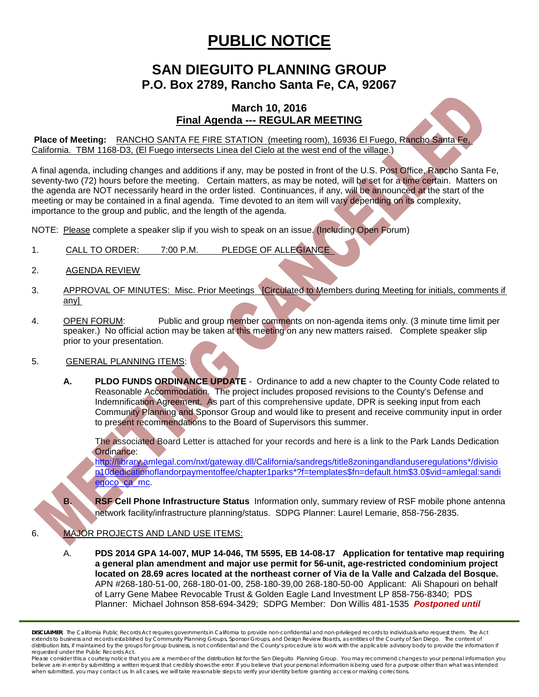## **PUBLIC NOTICE**

### **SAN DIEGUITO PLANNING GROUP P.O. Box 2789, Rancho Santa Fe, CA, 92067**

### **March 10, 2016 Final Agenda --- REGULAR MEETING**

**Place of Meeting:** RANCHO SANTA FE FIRE STATION (meeting room), 16936 El Fuego, Rancho Santa Fe, California. TBM 1168-D3, (El Fuego intersects Linea del Cielo at the west end of the village.)

A final agenda, including changes and additions if any, may be posted in front of the U.S. Post Office, Rancho Santa Fe, seventy-two (72) hours before the meeting. Certain matters, as may be noted, will be set for a time certain. Matters on the agenda are NOT necessarily heard in the order listed. Continuances, if any, will be announced at the start of the meeting or may be contained in a final agenda. Time devoted to an item will vary depending on its complexity, importance to the group and public, and the length of the agenda.

NOTE: Please complete a speaker slip if you wish to speak on an issue. (Including Open Forum)

- 1. CALL TO ORDER: 7:00 P.M. PLEDGE OF ALLEGIANCE
- 2. AGENDA REVIEW
- 3. APPROVAL OF MINUTES: Misc. Prior Meetings [Circulated to Members during Meeting for initials, comments if any]
- 4. OPEN FORUM: Public and group member comments on non-agenda items only. (3 minute time limit per speaker.) No official action may be taken at this meeting on any new matters raised. Complete speaker slip prior to your presentation.

#### 5. GENERAL PLANNING ITEMS:

**A. PLDO FUNDS ORDINANCE UPDATE** - Ordinance to add a new chapter to the County Code related to Reasonable Accommodation. The project includes proposed revisions to the County's Defense and Indemnification Agreement. As part of this comprehensive update, DPR is seeking input from each Community Planning and Sponsor Group and would like to present and receive community input in order to present recommendations to the Board of Supervisors this summer.

The associated Board Letter is attached for your records and here is a link to the Park Lands Dedication Ordinance:

[http://library.amlegal.com/nxt/gateway.dll/California/sandregs/title8zoningandlanduseregulations\\*/divisio](http://library.amlegal.com/nxt/gateway.dll/California/sandregs/title8zoningandlanduseregulations*/division10dedicationoflandorpaymentoffee/chapter1parks*?f=templates$fn=default.htm$3.0$vid=amlegal:sandiegoco_ca_mc) [n10dedicationoflandorpaymentoffee/chapter1parks\\*?f=templates\\$fn=default.htm\\$3.0\\$vid=amlegal:sandi](http://library.amlegal.com/nxt/gateway.dll/California/sandregs/title8zoningandlanduseregulations*/division10dedicationoflandorpaymentoffee/chapter1parks*?f=templates$fn=default.htm$3.0$vid=amlegal:sandiegoco_ca_mc) [egoco\\_ca\\_mc.](http://library.amlegal.com/nxt/gateway.dll/California/sandregs/title8zoningandlanduseregulations*/division10dedicationoflandorpaymentoffee/chapter1parks*?f=templates$fn=default.htm$3.0$vid=amlegal:sandiegoco_ca_mc)

**B. RSF Cell Phone Infrastructure Status** Information only, summary review of RSF mobile phone antenna network facility/infrastructure planning/status. SDPG Planner: Laurel Lemarie, 858-756-2835.

#### 6. MAJOR PROJECTS AND LAND USE ITEMS:

A. **PDS 2014 GPA 14-007, MUP 14-046, TM 5595, EB 14-08-17 Application for tentative map requiring a general plan amendment and major use permit for 56-unit, age-restricted condominium project located on 28.69 acres located at the northeast corner of Via de la Valle and Calzada del Bosque.**  APN #268-180-51-00, 268-180-01-00, 258-180-39,00 268-180-50-00 Applicant: Ali Shapouri on behalf of Larry Gene Mabee Revocable Trust & Golden Eagle Land Investment LP 858-756-8340; PDS Planner: Michael Johnson 858-694-3429; SDPG Member: Don Willis 481-1535 *Postponed until* 

*DISCLAIMER; The California Public Records Act requires governments in California to provide non-confidential and non-privileged records to individuals who request them. The Act*  extends to business and records established by Community Planning Groups, Sponsor Groups, and Design Review Boards, as entities of the County of San Diego. The content of distribution lists, if maintained by the groups for group business, is not confidential and the County's procedure is to work with the applicable advisory body to provide the information if *requested under the Public Records Act.*

Please consider this a courtesy notice that you are a member of the distribution list for the San Dieguito Planning Group. You may recommend changes to your personal information you believe are in error by submitting a written request that credibly shows the error. If you believe that your personal information is being used for a purpose other than what was intended<br>when submitted, you may contact us.